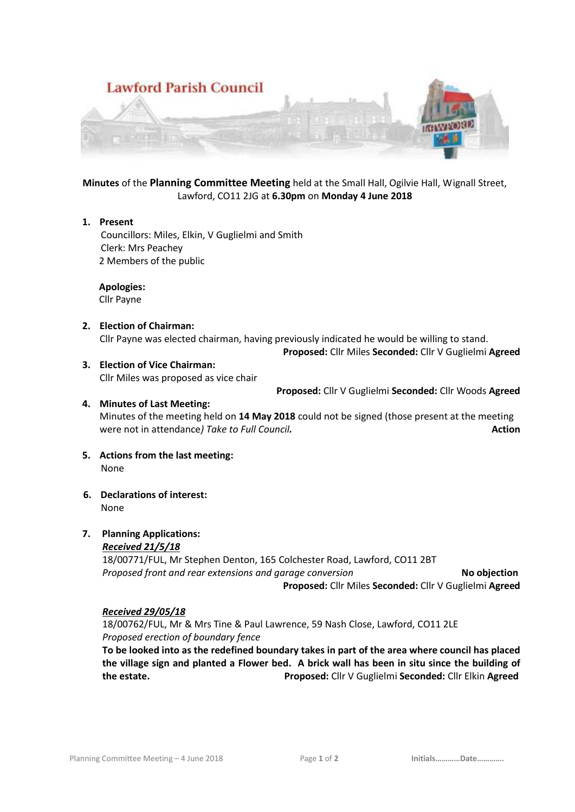

**Minutes** of the **Planning Committee Meeting** held at the Small Hall, Ogilvie Hall, Wignall Street, Lawford, CO11 2JG at **6.30pm** on **Monday 4 June 2018**

#### **1. Present**

 Councillors: Miles, Elkin, V Guglielmi and Smith Clerk: Mrs Peachey 2 Members of the public

 **Apologies:** Cllr Payne

**2. Election of Chairman:** Cllr Payne was elected chairman, having previously indicated he would be willing to stand.

**Proposed:** Cllr Miles **Seconded:** Cllr V Guglielmi **Agreed**

**3. Election of Vice Chairman:** Cllr Miles was proposed as vice chair

**Proposed:** Cllr V Guglielmi **Seconded:** Cllr Woods **Agreed**

# **4. Minutes of Last Meeting:** Minutes of the meeting held on **14 May 2018** could not be signed (those present at the meeting were not in attendance*)* Take to Full Council. **Action Action Action**

- **5. Actions from the last meeting:** None
- **6. Declarations of interest:** None

# **7. Planning Applications:**

### *Received 21/5/18*

18/00771/FUL, Mr Stephen Denton, 165 Colchester Road, Lawford, CO11 2BT *Proposed front and rear extensions and garage conversion* **No objection Proposed:** Cllr Miles **Seconded:** Cllr V Guglielmi **Agreed**

### *Received 29/05/18*

18/00762/FUL, Mr & Mrs Tine & Paul Lawrence, 59 Nash Close, Lawford, CO11 2LE *Proposed erection of boundary fence*

**To be looked into as the redefined boundary takes in part of the area where council has placed the village sign and planted a Flower bed. A brick wall has been in situ since the building of the estate.****Proposed:** Cllr V Guglielmi **Seconded:** Cllr Elkin **Agreed**